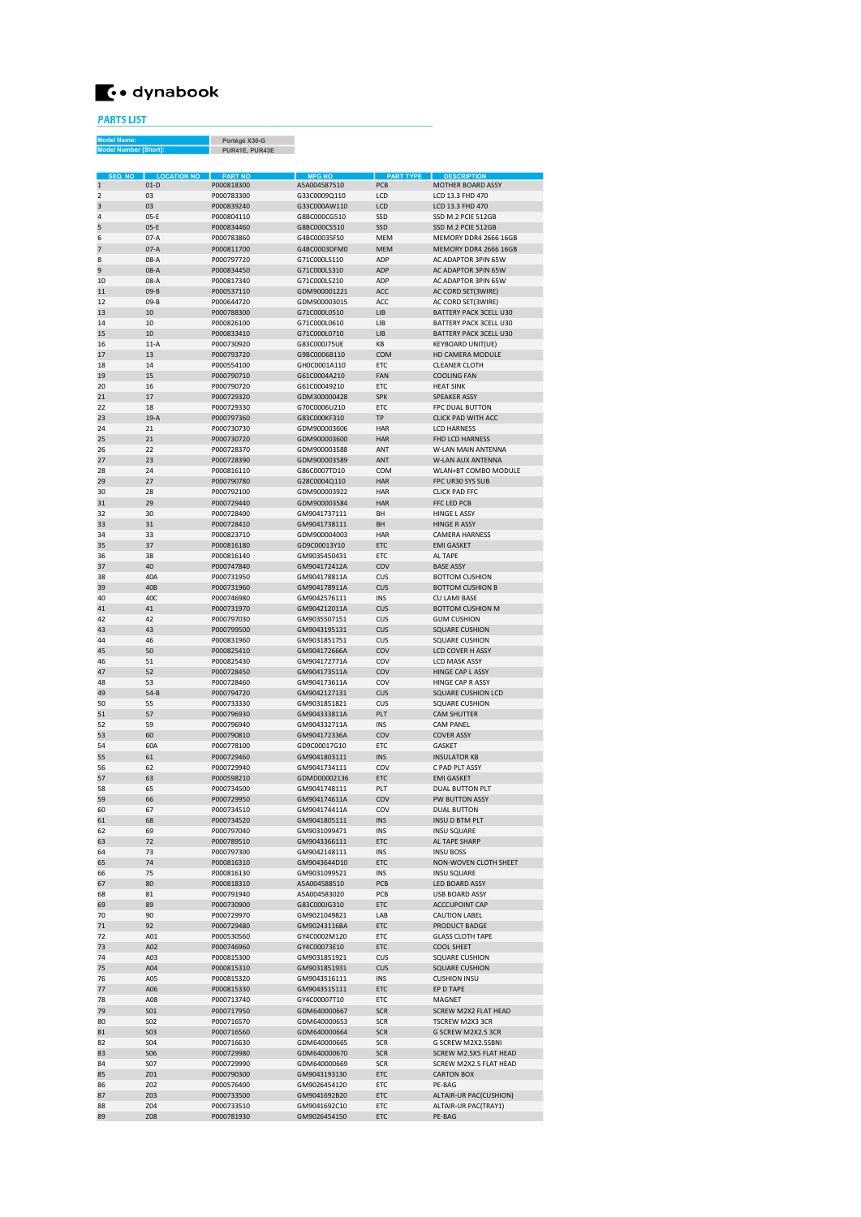

PARTS LIST del Name

Portégé X30-G PUR41E, PUR43E Model Number [Short]:

| SEQ. NO        | <b>LOCATION NO</b> | <b>PART NO</b> | <b>MFG NO</b> | <b>PART TYPE</b>  | <b>DESCRIPTION</b>            |
|----------------|--------------------|----------------|---------------|-------------------|-------------------------------|
| $\mathbf 1$    | $01-D$             | P000818300     | A5A004587510  | PCB               | MOTHER BOARD ASSY             |
| $\overline{2}$ | 03                 | P000783300     | G33C0009Q110  | LCD               | LCD 13.3 FHD 470              |
| 3              | 03                 | P000839240     | G33C000AW110  | LCD               | LCD 13.3 FHD 470              |
| $\Delta$       | $05-E$             | P000804110     | G8BC000CG510  | SSD               | SSD M.2 PCIE 512GB            |
| 5              | $05-F$             | P000834460     | G8BC000CS510  | SSD               | SSD M.2 PCIE 512GB            |
| 6              | $07-A$             | P000783860     | G4BC00035ES0  | <b>MFM</b>        | MEMORY DDR4 2666 16GB         |
| $\overline{7}$ | $07-A$             | P000811700     | G4BC0003DFM0  | <b>MEM</b>        | MEMORY DDR4 2666 16GB         |
| 8              | 08-A               | P000797720     | G71C000LS110  | ADP               | AC ADAPTOR 3PIN 65W           |
| 9              | $08-A$             | P000834450     | G71C000LS310  | ADP               | AC ADAPTOR 3PIN 65W           |
| 10             | 08-A               | P000817340     | G71C000LS210  | ADP               | AC ADAPTOR 3PIN 65W           |
| 11             | $09-B$             | P000537110     | GDM900001221  | ACC               | AC CORD SET(3WIRE)            |
| 12             | $09-B$             | P000644720     | GDM900003015  | ACC               | AC CORD SET(3WIRE)            |
| 13             | 10                 | P000788300     | G71C000L0510  | IIB               | <b>BATTERY PACK 3CELL U30</b> |
| 14             | 10                 | P000826100     | G71C000L0610  | IIB               | BATTERY PACK 3CELL U30        |
| 15             | 10                 | P000833410     | G71C000L0710  | IIB               | <b>BATTERY PACK 3CELL U30</b> |
| 16             | $11-A$             | P000730920     | G83C000J75UE  | KB                | <b>KEYBOARD UNIT(UE)</b>      |
| 17             | 13                 | P000793720     | G9BC0006B110  | COM               | HD CAMERA MODULE              |
| 18             | 14                 | P000554100     | GH0C0001A110  | ETC               | <b>CLEANER CLOTH</b>          |
| 19             | 15                 | P000790710     | G61C0004A210  | FAN               | <b>COOLING FAN</b>            |
| 20             | 16                 | P000790720     | G61C00049210  | ETC               | <b>HEAT SINK</b>              |
| 21             | 17                 | P000729320     | GDM300000428  | <b>SPK</b>        | <b>SPEAKER ASSY</b>           |
| 22             | 18                 | P000729330     | G70C0006U210  | FTC               | <b>FPC DUAL BUTTON</b>        |
| 23             | $19-A$             | P000797360     | G83C000KF310  | TP                | <b>CLICK PAD WITH ACC</b>     |
| 24             | 21                 | P000730730     | GDM900003606  | <b>HAR</b>        | <b>LCD HARNESS</b>            |
| 25             | 21                 | P000730720     | GDM900003600  | <b>HAR</b>        | FHD LCD HARNESS               |
| 26             | 22                 | P000728370     | GDM900003588  | ANT               | <b>W-LAN MAIN ANTENNA</b>     |
| 27             | 23                 | P000728390     | GDM900003589  | ANT               | W-LAN AUX ANTENNA             |
| 28             | 24                 | P000816110     | G86C0007TD10  | COM               | WLAN+BT COMBO MODULE          |
| 29             | 27                 | P000790780     | G28C0004Q110  | <b>HAR</b>        | FPC UR30 SYS SUB              |
| 30             | 28                 | P000792100     | GDM900003922  | HAR               | CLICK PAD FFC                 |
| 31             | 29                 | P000729440     | GDM900003584  | <b>HAR</b>        | <b>FFCIED PCB</b>             |
| 32             | 30                 | P000728400     | GM9041737111  | <b>BH</b>         | <b>HINGE L ASSY</b>           |
| 33             | 31                 | P000728410     | GM9041738111  | <b>BH</b>         | <b>HINGE R ASSY</b>           |
| 34             | 33                 | P000823710     | GDM900004003  | <b>HAR</b>        | <b>CAMERA HARNESS</b>         |
| 35             | 37                 | P000816180     | GD9C00013Y10  | ETC               | <b>EMI GASKET</b>             |
| 36             | 38                 | P000816140     | GM9035450431  | <b>FTC</b>        | AL TAPE                       |
| 37             | 40                 | P000747840     | GM904172412A  | COV               | <b>BASE ASSY</b>              |
| 38             | 40A                | P000731950     | GM904178811A  | CUS               | <b>BOTTOM CUSHION</b>         |
| 39             | 40B                | P000731960     | GM904178911A  | CUS               | <b>BOTTOM CUSHION B</b>       |
| 40             | 40C                | P000746980     | GM9042576111  | <b>INS</b>        | <b>CU LAMI BASE</b>           |
| 41             | 41                 | P000731970     | GM904212011A  | CUS               | <b>BOTTOM CUSHION M</b>       |
| 42             | 42                 | P000797030     | GM9035507151  | <b>CUS</b>        | <b>GUM CUSHION</b>            |
| 43             | 43                 | P000799500     | GM9043195131  | CUS               | <b>SQUARE CUSHION</b>         |
| 44             | 46                 | P000831960     | GM9031851751  | <b>CUS</b>        | <b>SQUARE CUSHION</b>         |
| 45             | 50                 | P000825410     | GM904172666A  | COV               | <b>LCD COVER H ASSY</b>       |
| 46             | 51                 | P000825430     | GM904172771A  | COV               | <b>LCD MASK ASSY</b>          |
| 47             | 52                 | P000728450     | GM904173511A  | COV               | HINGE CAP L ASSY              |
| 48             | 53                 | P000728460     | GM904173611A  | COV               | HINGE CAP R ASSY              |
| 49             | $54 - B$           | P000794720     | GM9042127131  | CUS               | SQUARE CUSHION LCD            |
| 50             | 55                 | P000733330     | GM9031851821  | <b>CUS</b>        | <b>SQUARE CUSHION</b>         |
| 51             | 57                 | P000796930     | GM904333811A  | PLT               | <b>CAM SHUTTER</b>            |
| 52             | 59                 | P000796940     | GM904332711A  | <b>INS</b>        | <b>CAM PANEL</b>              |
| 53             | 60                 |                |               | COV               | <b>COVER ASSY</b>             |
| 54             |                    | P000790810     | GM904172336A  |                   |                               |
|                | 60A                | P000778100     | GD9C00017G10  | ETC               | GASKET                        |
| 55<br>56       | 61                 | P000729460     | GM9041803111  | <b>INS</b><br>COV | <b>INSULATOR KB</b>           |
|                | 62                 | P000729940     | GM9041734111  |                   | C PAD PLT ASSY                |
| 57             | 63                 | P000598210     | GDMD00002136  | FTC               | <b>FMI GASKET</b>             |
| 58             | 65                 | P000734500     | GM9041748111  | PLT               | <b>DUAL BUTTON PLT</b>        |
| 59             | 66                 | P000729950     | GM904174611A  | COV               | PW BUTTON ASSY                |
| 60             | 07                 | P000734510     | GM904174411A  | COV               | DUAL BUTTON                   |
| 61             | 68                 | P000734520     | GM9041805111  | <b>INS</b>        | INSU D BTM PLT                |
| 62             | 69                 | P000797040     | GM9031099471  | INS               | <b>INSU SQUARE</b>            |
| 63             | 72                 | P000789510     | GM9043366111  | ETC               | AL TAPE SHARP                 |
| 64             | 73                 | P000797300     | GM9042148111  | INS               | <b>INSU BOSS</b>              |
| 65             | 74                 | P000816310     | GM9043644D10  | ETC               | NON-WOVEN CLOTH SHEET         |
| 66             | 75                 | P000816130     | GM9031099521  | <b>INS</b>        | <b>INSU SQUARE</b>            |
| 67             | 80                 | P000818310     | A5A004588510  | PCB               | <b>LED BOARD ASSY</b>         |
| 68             | 81                 | P000791940     | A5A004583020  | PCB               | <b>USB BOARD ASSY</b>         |
| 69             | 89                 | P000730900     | G83C000JG310  | ETC               | <b>ACCCUPOINT CAP</b>         |
| 70             | 90                 | P000729970     | GM9021049821  | LAB               | CAUTION LABEL                 |
| 71             | 92                 | P000729480     | GM90243116BA  | ETC               | PRODUCT BADGE                 |
| 72             | A01                | P000530560     | GY4C0002M120  | ETC               | <b>GLASS CLOTH TAPE</b>       |
| 73             | A02                | P000746960     | GY4C00073E10  | ETC               | COOL SHEET                    |
| 74             | A03                | P000815300     | GM9031851921  | CUS               | <b>SQUARE CUSHION</b>         |
| 75             | A04                | P000815310     | GM9031851931  | CUS               | <b>SQUARE CUSHION</b>         |
| 76             | A05                | P000815320     | GM9043516111  | <b>INS</b>        | <b>CUSHION INSU</b>           |
| 77             | A06                | P000815330     | GM9043515111  | ETC               | EP D TAPE                     |
| 78             | A08                | P000713740     | GY4C00007T10  | ETC               | MAGNET                        |
| 79             | <b>SO1</b>         | P000717950     | GDM640000667  | <b>SCR</b>        | SCREW M2X2 FLAT HEAD          |
| 80             | S02                | P000716570     | GDM640000653  | <b>SCR</b>        | TSCREW M2X3 3CR               |
| 81             | <b>SO3</b>         | P000716560     | GDM640000664  | <b>SCR</b>        | G SCREW M2X2.5 3CR            |
| 82             | <b>SO4</b>         | P000716630     | GDM640000665  | <b>SCR</b>        | G SCREW M2X2.5SBNI            |
| 83             | <b>SO6</b>         | P000729980     | GDM640000670  | <b>SCR</b>        | SCREW M2.5X5 FLAT HEAD        |
| 84             | S07                | P000729990     | GDM640000669  | <b>SCR</b>        | SCREW M2X2.5 FLAT HEAD        |
| 85             | Z01                | P000790300     | GM9043193130  | ETC               | <b>CARTON BOX</b>             |
| 86             | Z02                | P000576400     | GM9026454120  | ETC               | PE-BAG                        |
| 87             | Z03                | P000733500     | GM9041692B20  | ETC               | ALTAIR-UR PAC(CUSHION)        |
| 88             | Z04                | P000733510     | GM9041692C10  | ETC               | ALTAIR-UR PAC(TRAY1)          |
| 89             | Z08                | P000781930     | GM9026454150  | ETC               | PE-BAG                        |
|                |                    |                |               |                   |                               |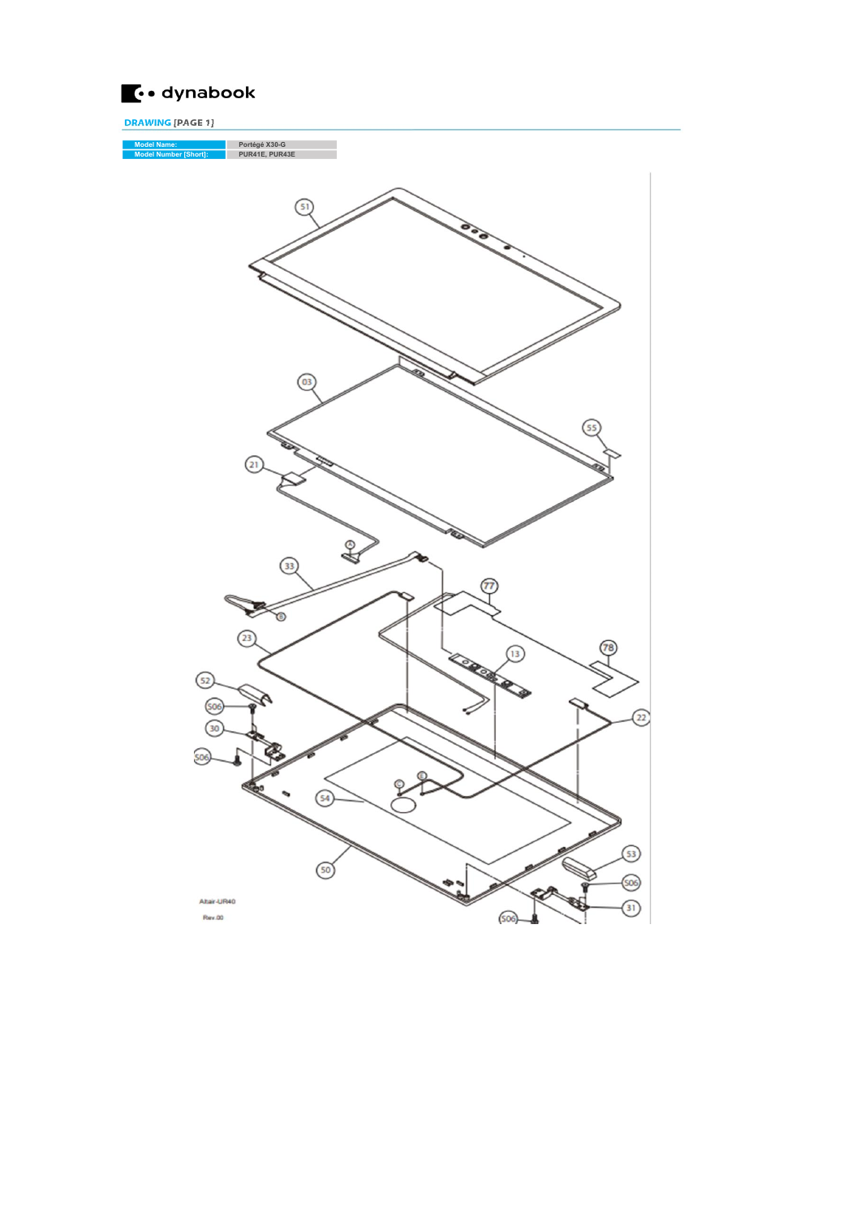

DRAWING [PAGE 1]

Model Name: Portégé X30-G Model Number [Short]: PUR41E, PUR43E